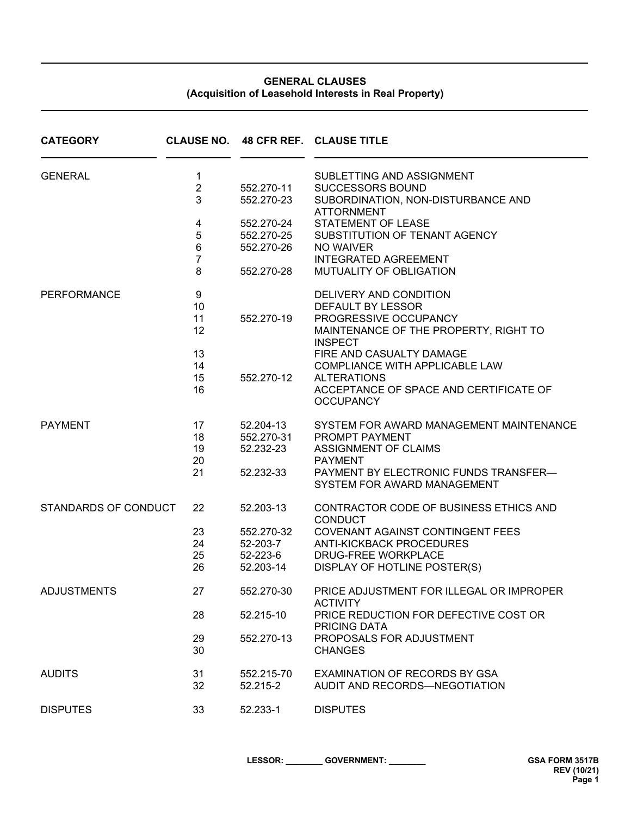# **GENERAL CLAUSES (Acquisition of Leasehold Interests in Real Property)**

| <b>CATEGORY</b>      |                |            | CLAUSE NO. 48 CFR REF. CLAUSE TITLE                          |
|----------------------|----------------|------------|--------------------------------------------------------------|
| <b>GENERAL</b>       | 1              |            | SUBLETTING AND ASSIGNMENT                                    |
|                      | $\overline{2}$ | 552.270-11 | <b>SUCCESSORS BOUND</b>                                      |
|                      | 3              | 552.270-23 | SUBORDINATION, NON-DISTURBANCE AND<br><b>ATTORNMENT</b>      |
|                      | 4              | 552.270-24 | <b>STATEMENT OF LEASE</b>                                    |
|                      | 5              | 552.270-25 | SUBSTITUTION OF TENANT AGENCY                                |
|                      | 6              | 552.270-26 | NO WAIVER                                                    |
|                      | $\overline{7}$ |            | <b>INTEGRATED AGREEMENT</b>                                  |
|                      | 8              | 552.270-28 | <b>MUTUALITY OF OBLIGATION</b>                               |
| <b>PERFORMANCE</b>   | 9              |            | DELIVERY AND CONDITION                                       |
|                      | 10             |            | DEFAULT BY LESSOR                                            |
|                      | 11             | 552.270-19 | PROGRESSIVE OCCUPANCY                                        |
|                      | 12             |            | MAINTENANCE OF THE PROPERTY, RIGHT TO                        |
|                      |                |            | <b>INSPECT</b>                                               |
|                      | 13             |            | FIRE AND CASUALTY DAMAGE                                     |
|                      | 14             |            | COMPLIANCE WITH APPLICABLE LAW                               |
|                      | 15             | 552.270-12 | <b>ALTERATIONS</b>                                           |
|                      | 16             |            | ACCEPTANCE OF SPACE AND CERTIFICATE OF<br><b>OCCUPANCY</b>   |
| <b>PAYMENT</b>       | 17             | 52.204-13  | SYSTEM FOR AWARD MANAGEMENT MAINTENANCE                      |
|                      | 18             | 552.270-31 | PROMPT PAYMENT                                               |
|                      | 19             | 52.232-23  | <b>ASSIGNMENT OF CLAIMS</b>                                  |
|                      | 20             |            | <b>PAYMENT</b>                                               |
|                      | 21             | 52.232-33  | PAYMENT BY ELECTRONIC FUNDS TRANSFER-                        |
|                      |                |            | SYSTEM FOR AWARD MANAGEMENT                                  |
| STANDARDS OF CONDUCT | 22             | 52.203-13  | CONTRACTOR CODE OF BUSINESS ETHICS AND<br><b>CONDUCT</b>     |
|                      | 23             | 552.270-32 | COVENANT AGAINST CONTINGENT FEES                             |
|                      | 24             | 52-203-7   | <b>ANTI-KICKBACK PROCEDURES</b>                              |
|                      | 25             | 52-223-6   | DRUG-FREE WORKPLACE                                          |
|                      | 26             | 52.203-14  | DISPLAY OF HOTLINE POSTER(S)                                 |
| <b>ADJUSTMENTS</b>   | 27             | 552.270-30 | PRICE ADJUSTMENT FOR ILLEGAL OR IMPROPER<br><b>ACTIVITY</b>  |
|                      | 28             | 52.215-10  | PRICE REDUCTION FOR DEFECTIVE COST OR<br><b>PRICING DATA</b> |
|                      | 29             | 552.270-13 | PROPOSALS FOR ADJUSTMENT                                     |
|                      | 30             |            | <b>CHANGES</b>                                               |
| <b>AUDITS</b>        | 31             | 552.215-70 | EXAMINATION OF RECORDS BY GSA                                |
|                      | 32             | 52.215-2   | AUDIT AND RECORDS-NEGOTIATION                                |
| <b>DISPUTES</b>      | 33             | 52.233-1   | <b>DISPUTES</b>                                              |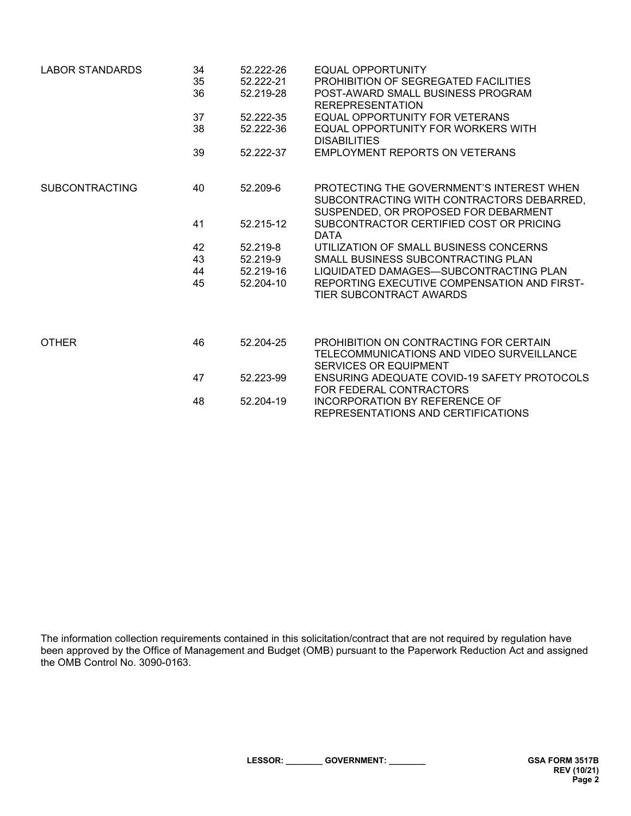| <b>LABOR STANDARDS</b> | 34<br>35 | 52.222-26<br>52.222-21 | EQUAL OPPORTUNITY<br>PROHIBITION OF SEGREGATED FACILITIES                                                                      |
|------------------------|----------|------------------------|--------------------------------------------------------------------------------------------------------------------------------|
|                        | 36       | 52.219-28              | POST-AWARD SMALL BUSINESS PROGRAM<br><b>REREPRESENTATION</b>                                                                   |
|                        | 37       | 52.222-35              | EQUAL OPPORTUNITY FOR VETERANS                                                                                                 |
|                        | 38       | 52.222-36              | EQUAL OPPORTUNITY FOR WORKERS WITH<br><b>DISABILITIES</b>                                                                      |
|                        | 39       | 52.222-37              | <b>EMPLOYMENT REPORTS ON VETERANS</b>                                                                                          |
| <b>SUBCONTRACTING</b>  | 40       | $52.209 - 6$           | PROTECTING THE GOVERNMENT'S INTEREST WHEN<br>SUBCONTRACTING WITH CONTRACTORS DEBARRED,<br>SUSPENDED, OR PROPOSED FOR DEBARMENT |
|                        | 41       | 52.215-12              | SUBCONTRACTOR CERTIFIED COST OR PRICING<br><b>DATA</b>                                                                         |
|                        | 42       | 52.219-8               | UTILIZATION OF SMALL BUSINESS CONCERNS                                                                                         |
|                        | 43       | 52.219-9               | SMALL BUSINESS SUBCONTRACTING PLAN                                                                                             |
|                        | 44       | 52.219-16              | LIQUIDATED DAMAGES—SUBCONTRACTING PLAN                                                                                         |
|                        | 45       | 52.204-10              | REPORTING EXECUTIVE COMPENSATION AND FIRST-<br>TIER SUBCONTRACT AWARDS                                                         |
|                        | 46       | 52.204-25              | PROHIBITION ON CONTRACTING FOR CERTAIN                                                                                         |
| <b>OTHER</b>           |          |                        | TELECOMMUNICATIONS AND VIDEO SURVEILLANCE<br><b>SERVICES OR EQUIPMENT</b>                                                      |
|                        | 47       | 52.223-99              | <b>ENSURING ADEQUATE COVID-19 SAFETY PROTOCOLS</b><br>FOR FEDERAL CONTRACTORS                                                  |
|                        | 48       | 52.204-19              | <b>INCORPORATION BY REFERENCE OF</b><br>REPRESENTATIONS AND CERTIFICATIONS                                                     |

The information collection requirements contained in this solicitation/contract that are not required by regulation have been approved by the Office of Management and Budget (OMB) pursuant to the Paperwork Reduction Act and assigned the OMB Control No. 3090-0163.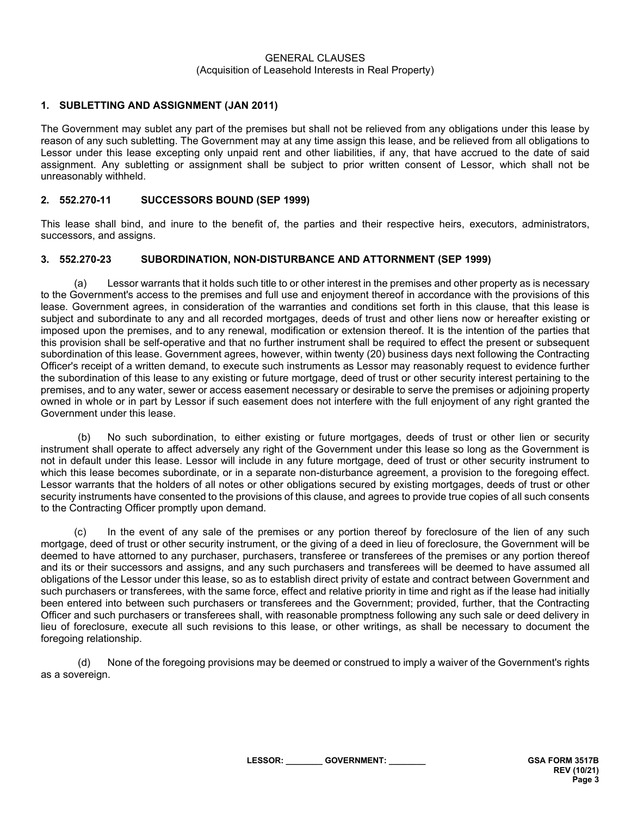### GENERAL CLAUSES (Acquisition of Leasehold Interests in Real Property)

# **1. SUBLETTING AND ASSIGNMENT (JAN 2011)**

The Government may sublet any part of the premises but shall not be relieved from any obligations under this lease by reason of any such subletting. The Government may at any time assign this lease, and be relieved from all obligations to Lessor under this lease excepting only unpaid rent and other liabilities, if any, that have accrued to the date of said assignment. Any subletting or assignment shall be subject to prior written consent of Lessor, which shall not be unreasonably withheld.

### **2. 552.270-11 SUCCESSORS BOUND (SEP 1999)**

This lease shall bind, and inure to the benefit of, the parties and their respective heirs, executors, administrators, successors, and assigns.

### **3. 552.270-23 SUBORDINATION, NON-DISTURBANCE AND ATTORNMENT (SEP 1999)**

(a) Lessor warrants that it holds such title to or other interest in the premises and other property as is necessary to the Government's access to the premises and full use and enjoyment thereof in accordance with the provisions of this lease. Government agrees, in consideration of the warranties and conditions set forth in this clause, that this lease is subject and subordinate to any and all recorded mortgages, deeds of trust and other liens now or hereafter existing or imposed upon the premises, and to any renewal, modification or extension thereof. It is the intention of the parties that this provision shall be self-operative and that no further instrument shall be required to effect the present or subsequent subordination of this lease. Government agrees, however, within twenty (20) business days next following the Contracting Officer's receipt of a written demand, to execute such instruments as Lessor may reasonably request to evidence further the subordination of this lease to any existing or future mortgage, deed of trust or other security interest pertaining to the premises, and to any water, sewer or access easement necessary or desirable to serve the premises or adjoining property owned in whole or in part by Lessor if such easement does not interfere with the full enjoyment of any right granted the Government under this lease.

(b) No such subordination, to either existing or future mortgages, deeds of trust or other lien or security instrument shall operate to affect adversely any right of the Government under this lease so long as the Government is not in default under this lease. Lessor will include in any future mortgage, deed of trust or other security instrument to which this lease becomes subordinate, or in a separate non-disturbance agreement, a provision to the foregoing effect. Lessor warrants that the holders of all notes or other obligations secured by existing mortgages, deeds of trust or other security instruments have consented to the provisions of this clause, and agrees to provide true copies of all such consents to the Contracting Officer promptly upon demand.

(c) In the event of any sale of the premises or any portion thereof by foreclosure of the lien of any such mortgage, deed of trust or other security instrument, or the giving of a deed in lieu of foreclosure, the Government will be deemed to have attorned to any purchaser, purchasers, transferee or transferees of the premises or any portion thereof and its or their successors and assigns, and any such purchasers and transferees will be deemed to have assumed all obligations of the Lessor under this lease, so as to establish direct privity of estate and contract between Government and such purchasers or transferees, with the same force, effect and relative priority in time and right as if the lease had initially been entered into between such purchasers or transferees and the Government; provided, further, that the Contracting Officer and such purchasers or transferees shall, with reasonable promptness following any such sale or deed delivery in lieu of foreclosure, execute all such revisions to this lease, or other writings, as shall be necessary to document the foregoing relationship.

(d) None of the foregoing provisions may be deemed or construed to imply a waiver of the Government's rights as a sovereign.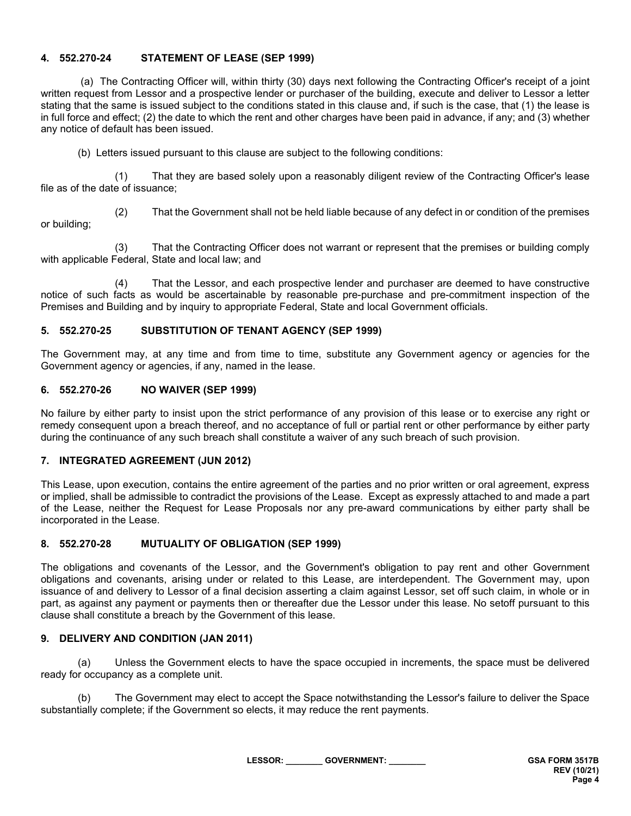# **4. 552.270-24 STATEMENT OF LEASE (SEP 1999)**

(a) The Contracting Officer will, within thirty (30) days next following the Contracting Officer's receipt of a joint written request from Lessor and a prospective lender or purchaser of the building, execute and deliver to Lessor a letter stating that the same is issued subject to the conditions stated in this clause and, if such is the case, that (1) the lease is in full force and effect; (2) the date to which the rent and other charges have been paid in advance, if any; and (3) whether any notice of default has been issued.

(b) Letters issued pursuant to this clause are subject to the following conditions:

(1) That they are based solely upon a reasonably diligent review of the Contracting Officer's lease file as of the date of issuance;

(2) That the Government shall not be held liable because of any defect in or condition of the premises or building;

(3) That the Contracting Officer does not warrant or represent that the premises or building comply with applicable Federal, State and local law; and

(4) That the Lessor, and each prospective lender and purchaser are deemed to have constructive notice of such facts as would be ascertainable by reasonable pre-purchase and pre-commitment inspection of the Premises and Building and by inquiry to appropriate Federal, State and local Government officials.

### **5. 552.270-25 SUBSTITUTION OF TENANT AGENCY (SEP 1999)**

The Government may, at any time and from time to time, substitute any Government agency or agencies for the Government agency or agencies, if any, named in the lease.

## **6. 552.270-26 NO WAIVER (SEP 1999)**

No failure by either party to insist upon the strict performance of any provision of this lease or to exercise any right or remedy consequent upon a breach thereof, and no acceptance of full or partial rent or other performance by either party during the continuance of any such breach shall constitute a waiver of any such breach of such provision.

### **7. INTEGRATED AGREEMENT (JUN 2012)**

This Lease, upon execution, contains the entire agreement of the parties and no prior written or oral agreement, express or implied, shall be admissible to contradict the provisions of the Lease. Except as expressly attached to and made a part of the Lease, neither the Request for Lease Proposals nor any pre-award communications by either party shall be incorporated in the Lease.

### **8. 552.270-28 MUTUALITY OF OBLIGATION (SEP 1999)**

The obligations and covenants of the Lessor, and the Government's obligation to pay rent and other Government obligations and covenants, arising under or related to this Lease, are interdependent. The Government may, upon issuance of and delivery to Lessor of a final decision asserting a claim against Lessor, set off such claim, in whole or in part, as against any payment or payments then or thereafter due the Lessor under this lease. No setoff pursuant to this clause shall constitute a breach by the Government of this lease.

### **9. DELIVERY AND CONDITION (JAN 2011)**

(a) Unless the Government elects to have the space occupied in increments, the space must be delivered ready for occupancy as a complete unit.

(b) The Government may elect to accept the Space notwithstanding the Lessor's failure to deliver the Space substantially complete; if the Government so elects, it may reduce the rent payments.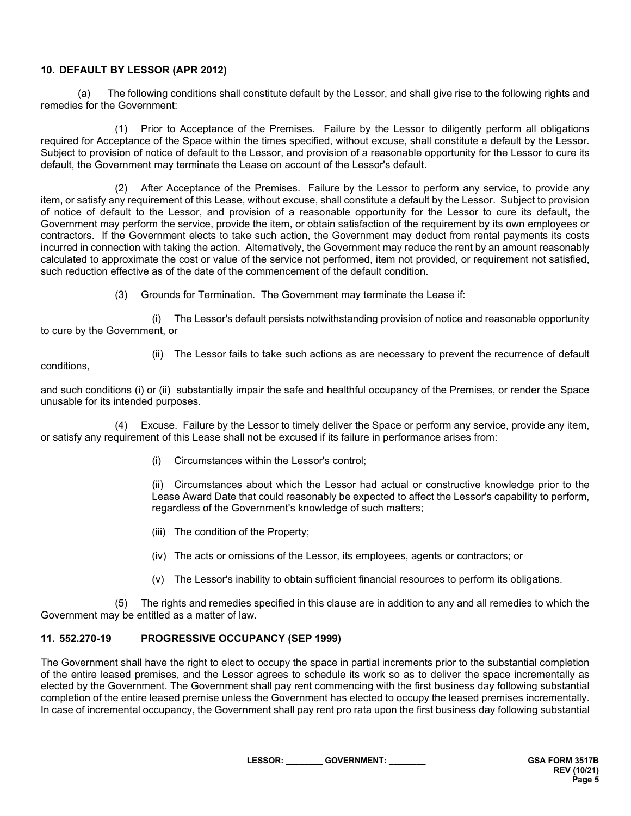# **10. DEFAULT BY LESSOR (APR 2012)**

(a) The following conditions shall constitute default by the Lessor, and shall give rise to the following rights and remedies for the Government:

(1) Prior to Acceptance of the Premises. Failure by the Lessor to diligently perform all obligations required for Acceptance of the Space within the times specified, without excuse, shall constitute a default by the Lessor. Subject to provision of notice of default to the Lessor, and provision of a reasonable opportunity for the Lessor to cure its default, the Government may terminate the Lease on account of the Lessor's default.

(2) After Acceptance of the Premises. Failure by the Lessor to perform any service, to provide any item, or satisfy any requirement of this Lease, without excuse, shall constitute a default by the Lessor. Subject to provision of notice of default to the Lessor, and provision of a reasonable opportunity for the Lessor to cure its default, the Government may perform the service, provide the item, or obtain satisfaction of the requirement by its own employees or contractors. If the Government elects to take such action, the Government may deduct from rental payments its costs incurred in connection with taking the action. Alternatively, the Government may reduce the rent by an amount reasonably calculated to approximate the cost or value of the service not performed, item not provided, or requirement not satisfied, such reduction effective as of the date of the commencement of the default condition.

(3) Grounds for Termination. The Government may terminate the Lease if:

(i) The Lessor's default persists notwithstanding provision of notice and reasonable opportunity to cure by the Government, or

conditions,

(ii) The Lessor fails to take such actions as are necessary to prevent the recurrence of default

and such conditions (i) or (ii) substantially impair the safe and healthful occupancy of the Premises, or render the Space unusable for its intended purposes.

(4) Excuse. Failure by the Lessor to timely deliver the Space or perform any service, provide any item, or satisfy any requirement of this Lease shall not be excused if its failure in performance arises from:

(i) Circumstances within the Lessor's control;

(ii) Circumstances about which the Lessor had actual or constructive knowledge prior to the Lease Award Date that could reasonably be expected to affect the Lessor's capability to perform, regardless of the Government's knowledge of such matters;

- (iii) The condition of the Property;
- (iv) The acts or omissions of the Lessor, its employees, agents or contractors; or
- (v) The Lessor's inability to obtain sufficient financial resources to perform its obligations.

(5) The rights and remedies specified in this clause are in addition to any and all remedies to which the Government may be entitled as a matter of law.

# **11. 552.270-19 PROGRESSIVE OCCUPANCY (SEP 1999)**

The Government shall have the right to elect to occupy the space in partial increments prior to the substantial completion of the entire leased premises, and the Lessor agrees to schedule its work so as to deliver the space incrementally as elected by the Government. The Government shall pay rent commencing with the first business day following substantial completion of the entire leased premise unless the Government has elected to occupy the leased premises incrementally. In case of incremental occupancy, the Government shall pay rent pro rata upon the first business day following substantial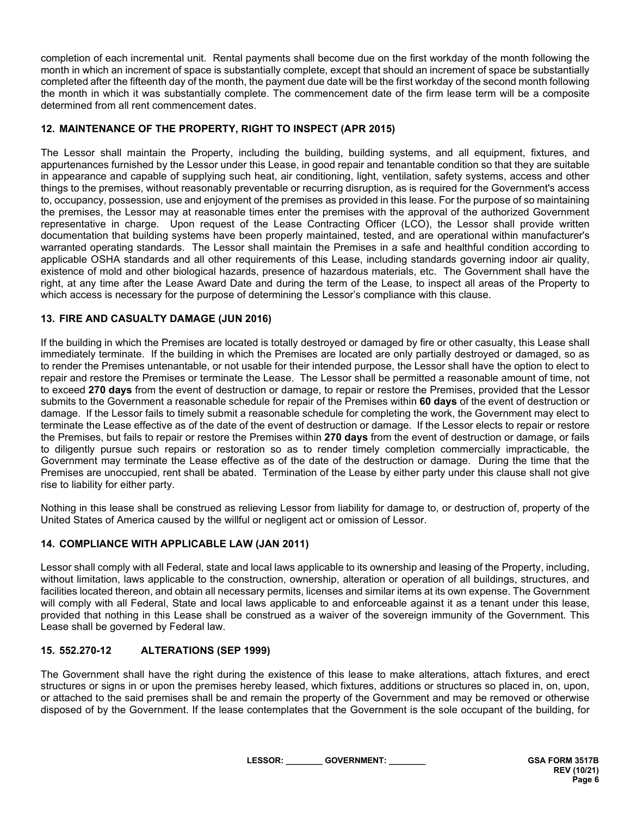completion of each incremental unit. Rental payments shall become due on the first workday of the month following the month in which an increment of space is substantially complete, except that should an increment of space be substantially completed after the fifteenth day of the month, the payment due date will be the first workday of the second month following the month in which it was substantially complete. The commencement date of the firm lease term will be a composite determined from all rent commencement dates.

# **12. MAINTENANCE OF THE PROPERTY, RIGHT TO INSPECT (APR 2015)**

The Lessor shall maintain the Property, including the building, building systems, and all equipment, fixtures, and appurtenances furnished by the Lessor under this Lease, in good repair and tenantable condition so that they are suitable in appearance and capable of supplying such heat, air conditioning, light, ventilation, safety systems, access and other things to the premises, without reasonably preventable or recurring disruption, as is required for the Government's access to, occupancy, possession, use and enjoyment of the premises as provided in this lease. For the purpose of so maintaining the premises, the Lessor may at reasonable times enter the premises with the approval of the authorized Government representative in charge. Upon request of the Lease Contracting Officer (LCO), the Lessor shall provide written documentation that building systems have been properly maintained, tested, and are operational within manufacturer's warranted operating standards. The Lessor shall maintain the Premises in a safe and healthful condition according to applicable OSHA standards and all other requirements of this Lease, including standards governing indoor air quality, existence of mold and other biological hazards, presence of hazardous materials, etc. The Government shall have the right, at any time after the Lease Award Date and during the term of the Lease, to inspect all areas of the Property to which access is necessary for the purpose of determining the Lessor's compliance with this clause.

# **13. FIRE AND CASUALTY DAMAGE (JUN 2016)**

If the building in which the Premises are located is totally destroyed or damaged by fire or other casualty, this Lease shall immediately terminate. If the building in which the Premises are located are only partially destroyed or damaged, so as to render the Premises untenantable, or not usable for their intended purpose, the Lessor shall have the option to elect to repair and restore the Premises or terminate the Lease. The Lessor shall be permitted a reasonable amount of time, not to exceed **270 days** from the event of destruction or damage, to repair or restore the Premises, provided that the Lessor submits to the Government a reasonable schedule for repair of the Premises within **60 days** of the event of destruction or damage. If the Lessor fails to timely submit a reasonable schedule for completing the work, the Government may elect to terminate the Lease effective as of the date of the event of destruction or damage. If the Lessor elects to repair or restore the Premises, but fails to repair or restore the Premises within **270 days** from the event of destruction or damage, or fails to diligently pursue such repairs or restoration so as to render timely completion commercially impracticable, the Government may terminate the Lease effective as of the date of the destruction or damage. During the time that the Premises are unoccupied, rent shall be abated. Termination of the Lease by either party under this clause shall not give rise to liability for either party.

Nothing in this lease shall be construed as relieving Lessor from liability for damage to, or destruction of, property of the United States of America caused by the willful or negligent act or omission of Lessor.

# **14. COMPLIANCE WITH APPLICABLE LAW (JAN 2011)**

Lessor shall comply with all Federal, state and local laws applicable to its ownership and leasing of the Property, including, without limitation, laws applicable to the construction, ownership, alteration or operation of all buildings, structures, and facilities located thereon, and obtain all necessary permits, licenses and similar items at its own expense. The Government will comply with all Federal, State and local laws applicable to and enforceable against it as a tenant under this lease, provided that nothing in this Lease shall be construed as a waiver of the sovereign immunity of the Government. This Lease shall be governed by Federal law.

# **15. 552.270-12 ALTERATIONS (SEP 1999)**

The Government shall have the right during the existence of this lease to make alterations, attach fixtures, and erect structures or signs in or upon the premises hereby leased, which fixtures, additions or structures so placed in, on, upon, or attached to the said premises shall be and remain the property of the Government and may be removed or otherwise disposed of by the Government. If the lease contemplates that the Government is the sole occupant of the building, for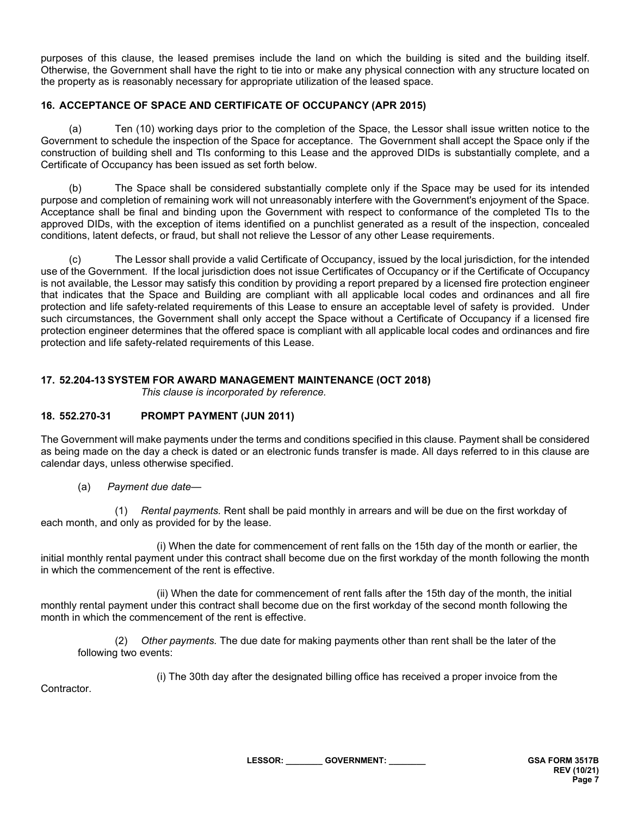purposes of this clause, the leased premises include the land on which the building is sited and the building itself. Otherwise, the Government shall have the right to tie into or make any physical connection with any structure located on the property as is reasonably necessary for appropriate utilization of the leased space.

# **16. ACCEPTANCE OF SPACE AND CERTIFICATE OF OCCUPANCY (APR 2015)**

(a) Ten (10) working days prior to the completion of the Space, the Lessor shall issue written notice to the Government to schedule the inspection of the Space for acceptance. The Government shall accept the Space only if the construction of building shell and TIs conforming to this Lease and the approved DIDs is substantially complete, and a Certificate of Occupancy has been issued as set forth below.

(b) The Space shall be considered substantially complete only if the Space may be used for its intended purpose and completion of remaining work will not unreasonably interfere with the Government's enjoyment of the Space. Acceptance shall be final and binding upon the Government with respect to conformance of the completed TIs to the approved DIDs, with the exception of items identified on a punchlist generated as a result of the inspection, concealed conditions, latent defects, or fraud, but shall not relieve the Lessor of any other Lease requirements.

(c) The Lessor shall provide a valid Certificate of Occupancy, issued by the local jurisdiction, for the intended use of the Government. If the local jurisdiction does not issue Certificates of Occupancy or if the Certificate of Occupancy is not available, the Lessor may satisfy this condition by providing a report prepared by a licensed fire protection engineer that indicates that the Space and Building are compliant with all applicable local codes and ordinances and all fire protection and life safety-related requirements of this Lease to ensure an acceptable level of safety is provided. Under such circumstances, the Government shall only accept the Space without a Certificate of Occupancy if a licensed fire protection engineer determines that the offered space is compliant with all applicable local codes and ordinances and fire protection and life safety-related requirements of this Lease.

# **17. 52.204-13 SYSTEM FOR AWARD MANAGEMENT MAINTENANCE (OCT 2018)**

*This clause is incorporated by reference.*

# **18. 552.270-31 PROMPT PAYMENT (JUN 2011)**

The Government will make payments under the terms and conditions specified in this clause. Payment shall be considered as being made on the day a check is dated or an electronic funds transfer is made. All days referred to in this clause are calendar days, unless otherwise specified.

(a) *Payment due date*—

(1) *Rental payments.* Rent shall be paid monthly in arrears and will be due on the first workday of each month, and only as provided for by the lease.

(i) When the date for commencement of rent falls on the 15th day of the month or earlier, the initial monthly rental payment under this contract shall become due on the first workday of the month following the month in which the commencement of the rent is effective.

(ii) When the date for commencement of rent falls after the 15th day of the month, the initial monthly rental payment under this contract shall become due on the first workday of the second month following the month in which the commencement of the rent is effective.

(2) *Other payments.* The due date for making payments other than rent shall be the later of the following two events:

(i) The 30th day after the designated billing office has received a proper invoice from the

Contractor.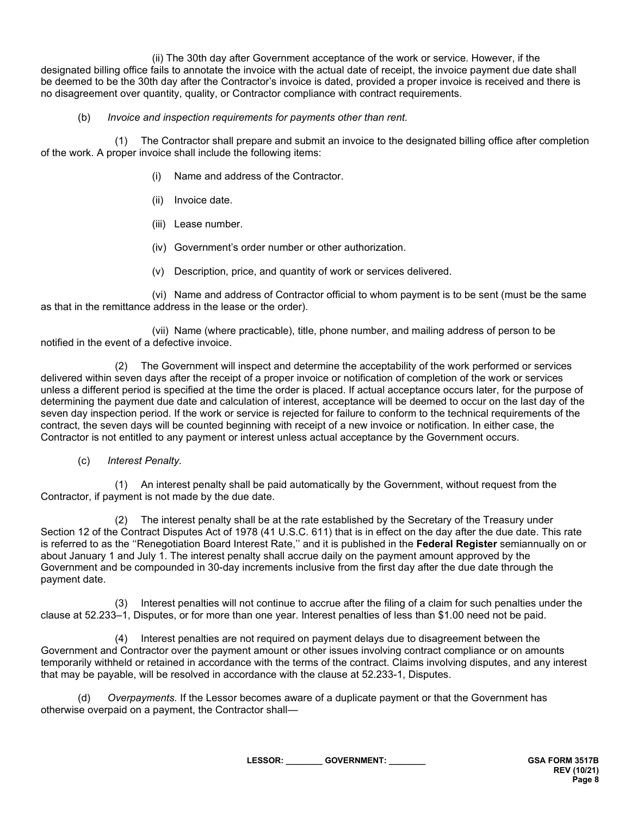(ii) The 30th day after Government acceptance of the work or service. However, if the designated billing office fails to annotate the invoice with the actual date of receipt, the invoice payment due date shall be deemed to be the 30th day after the Contractor's invoice is dated, provided a proper invoice is received and there is no disagreement over quantity, quality, or Contractor compliance with contract requirements.

# (b) *Invoice and inspection requirements for payments other than rent.*

(1) The Contractor shall prepare and submit an invoice to the designated billing office after completion of the work. A proper invoice shall include the following items:

- (i) Name and address of the Contractor.
- (ii) Invoice date.
- (iii) Lease number.
- (iv) Government's order number or other authorization.
- (v) Description, price, and quantity of work or services delivered.

(vi) Name and address of Contractor official to whom payment is to be sent (must be the same as that in the remittance address in the lease or the order).

(vii) Name (where practicable), title, phone number, and mailing address of person to be notified in the event of a defective invoice.

(2) The Government will inspect and determine the acceptability of the work performed or services delivered within seven days after the receipt of a proper invoice or notification of completion of the work or services unless a different period is specified at the time the order is placed. If actual acceptance occurs later, for the purpose of determining the payment due date and calculation of interest, acceptance will be deemed to occur on the last day of the seven day inspection period. If the work or service is rejected for failure to conform to the technical requirements of the contract, the seven days will be counted beginning with receipt of a new invoice or notification. In either case, the Contractor is not entitled to any payment or interest unless actual acceptance by the Government occurs.

# (c) *Interest Penalty.*

(1) An interest penalty shall be paid automatically by the Government, without request from the Contractor, if payment is not made by the due date.

(2) The interest penalty shall be at the rate established by the Secretary of the Treasury under Section 12 of the Contract Disputes Act of 1978 (41 U.S.C. 611) that is in effect on the day after the due date. This rate is referred to as the ''Renegotiation Board Interest Rate,'' and it is published in the **Federal Register** semiannually on or about January 1 and July 1. The interest penalty shall accrue daily on the payment amount approved by the Government and be compounded in 30-day increments inclusive from the first day after the due date through the payment date.

(3) Interest penalties will not continue to accrue after the filing of a claim for such penalties under the clause at 52.233–1, Disputes, or for more than one year. Interest penalties of less than \$1.00 need not be paid.

(4) Interest penalties are not required on payment delays due to disagreement between the Government and Contractor over the payment amount or other issues involving contract compliance or on amounts temporarily withheld or retained in accordance with the terms of the contract. Claims involving disputes, and any interest that may be payable, will be resolved in accordance with the clause at 52.233-1, Disputes.

(d) *Overpayments.* If the Lessor becomes aware of a duplicate payment or that the Government has otherwise overpaid on a payment, the Contractor shall—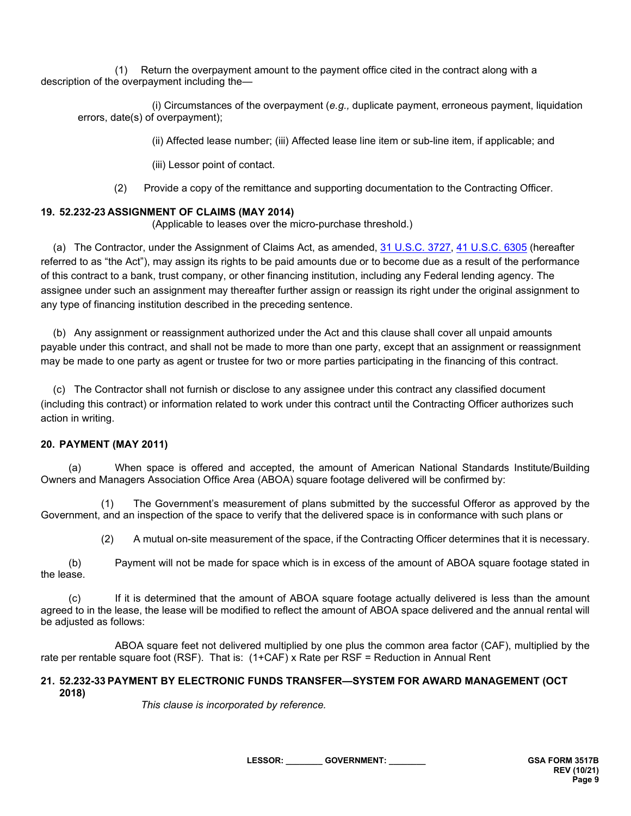(1) Return the overpayment amount to the payment office cited in the contract along with a description of the overpayment including the—

(i) Circumstances of the overpayment (*e.g.,* duplicate payment, erroneous payment, liquidation errors, date(s) of overpayment);

(ii) Affected lease number; (iii) Affected lease line item or sub-line item, if applicable; and

(iii) Lessor point of contact.

(2) Provide a copy of the remittance and supporting documentation to the Contracting Officer.

## **19. 52.232-23 ASSIGNMENT OF CLAIMS (MAY 2014)**

(Applicable to leases over the micro-purchase threshold.)

(a) The Contractor, under the Assignment of Claims Act, as amended, [31 U.S.C. 3727,](http://uscode.house.gov/uscode-cgi/fastweb.exe?getdoc+uscview+t29t32+1665+30++%2831%29%20%20AND%20%28%2831%29%20ADJ%20USC%29%3ACITE%20%20%20%20%20%20%20%20%20) 41 [U.S.C. 6305](http://uscode.house.gov/) (hereafter referred to as "the Act"), may assign its rights to be paid amounts due or to become due as a result of the performance of this contract to a bank, trust company, or other financing institution, including any Federal lending agency. The assignee under such an assignment may thereafter further assign or reassign its right under the original assignment to any type of financing institution described in the preceding sentence.

(b) Any assignment or reassignment authorized under the Act and this clause shall cover all unpaid amounts payable under this contract, and shall not be made to more than one party, except that an assignment or reassignment may be made to one party as agent or trustee for two or more parties participating in the financing of this contract.

(c) The Contractor shall not furnish or disclose to any assignee under this contract any classified document (including this contract) or information related to work under this contract until the Contracting Officer authorizes such action in writing.

### **20. PAYMENT (MAY 2011)**

(a) When space is offered and accepted, the amount of American National Standards Institute/Building Owners and Managers Association Office Area (ABOA) square footage delivered will be confirmed by:

(1) The Government's measurement of plans submitted by the successful Offeror as approved by the Government, and an inspection of the space to verify that the delivered space is in conformance with such plans or

(2) A mutual on-site measurement of the space, if the Contracting Officer determines that it is necessary.

(b) Payment will not be made for space which is in excess of the amount of ABOA square footage stated in the lease.

(c) If it is determined that the amount of ABOA square footage actually delivered is less than the amount agreed to in the lease, the lease will be modified to reflect the amount of ABOA space delivered and the annual rental will be adjusted as follows:

ABOA square feet not delivered multiplied by one plus the common area factor (CAF), multiplied by the rate per rentable square foot (RSF). That is: (1+CAF) x Rate per RSF = Reduction in Annual Rent

### **21. 52.232-33 PAYMENT BY ELECTRONIC FUNDS TRANSFER—SYSTEM FOR AWARD MANAGEMENT (OCT 2018)**

*This clause is incorporated by reference.*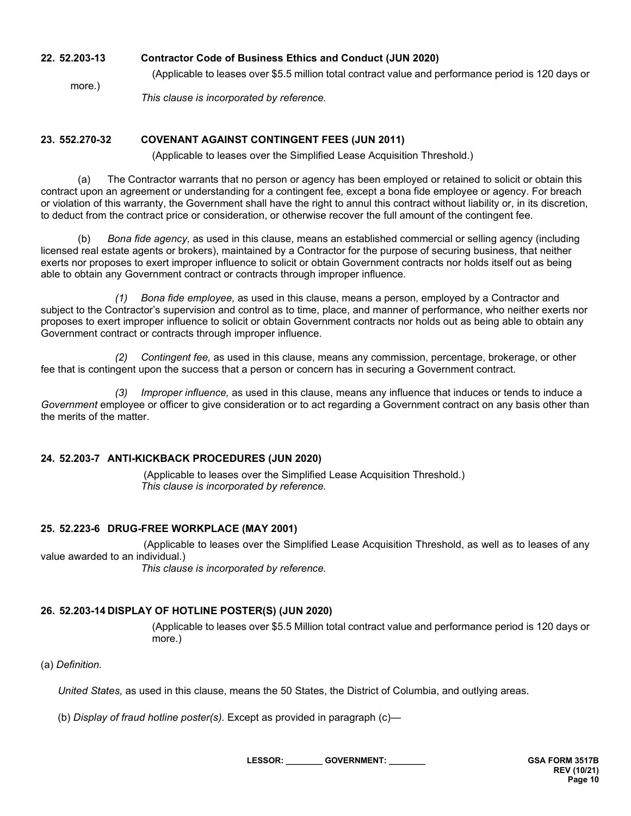# **22. 52.203-13 Contractor Code of Business Ethics and Conduct (JUN 2020)**

(Applicable to leases over \$5.5 million total contract value and performance period is 120 days or

*This clause is incorporated by reference.*

# **23. 552.270-32 COVENANT AGAINST CONTINGENT FEES (JUN 2011)**

(Applicable to leases over the Simplified Lease Acquisition Threshold.)

(a) The Contractor warrants that no person or agency has been employed or retained to solicit or obtain this contract upon an agreement or understanding for a contingent fee, except a bona fide employee or agency. For breach or violation of this warranty, the Government shall have the right to annul this contract without liability or, in its discretion, to deduct from the contract price or consideration, or otherwise recover the full amount of the contingent fee.

(b) *Bona fide agency,* as used in this clause, means an established commercial or selling agency (including licensed real estate agents or brokers), maintained by a Contractor for the purpose of securing business, that neither exerts nor proposes to exert improper influence to solicit or obtain Government contracts nor holds itself out as being able to obtain any Government contract or contracts through improper influence.

*(1) Bona fide employee,* as used in this clause, means a person, employed by a Contractor and subject to the Contractor's supervision and control as to time, place, and manner of performance, who neither exerts nor proposes to exert improper influence to solicit or obtain Government contracts nor holds out as being able to obtain any Government contract or contracts through improper influence.

*(2) Contingent fee,* as used in this clause, means any commission, percentage, brokerage, or other fee that is contingent upon the success that a person or concern has in securing a Government contract.

*(3) Improper influence,* as used in this clause, means any influence that induces or tends to induce a *Government* employee or officer to give consideration or to act regarding a Government contract on any basis other than the merits of the matter.

# **24. 52.203-7 ANTI-KICKBACK PROCEDURES (JUN 2020)**

 (Applicable to leases over the Simplified Lease Acquisition Threshold.) *This clause is incorporated by reference.*

# **25. 52.223-6 DRUG-FREE WORKPLACE (MAY 2001)**

(Applicable to leases over the Simplified Lease Acquisition Threshold, as well as to leases of any value awarded to an individual.)

*This clause is incorporated by reference.*

# **26. 52.203-14 DISPLAY OF HOTLINE POSTER(S) (JUN 2020)**

(Applicable to leases over \$5.5 Million total contract value and performance period is 120 days or more.)

(a) *Definition.*

more.)

*United States,* as used in this clause, means the 50 States, the District of Columbia, and outlying areas.

(b) *Display of fraud hotline poster(s).* Except as provided in paragraph (c)—

**LESSOR: \_\_\_\_\_\_\_\_ GOVERNMENT: \_\_\_\_\_\_\_\_ GSA FORM 3517B**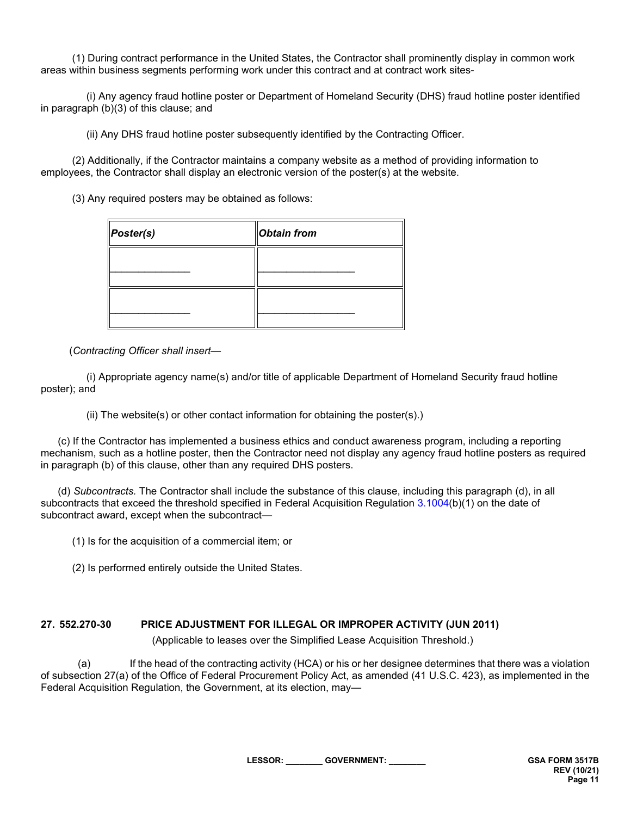(1) During contract performance in the United States, the Contractor shall prominently display in common work areas within business segments performing work under this contract and at contract work sites-

 (i) Any agency fraud hotline poster or Department of Homeland Security (DHS) fraud hotline poster identified in paragraph (b)(3) of this clause; and

(ii) Any DHS fraud hotline poster subsequently identified by the Contracting Officer.

 (2) Additionally, if the Contractor maintains a company website as a method of providing information to employees, the Contractor shall display an electronic version of the poster(s) at the website.

(3) Any required posters may be obtained as follows:

| Poster(s) | <b>Obtain from</b> |
|-----------|--------------------|
|           |                    |
|           |                    |
|           |                    |

(*Contracting Officer shall insert—*

 (i) Appropriate agency name(s) and/or title of applicable Department of Homeland Security fraud hotline poster); and

(ii) The website(s) or other contact information for obtaining the poster(s).)

 (c) If the Contractor has implemented a business ethics and conduct awareness program, including a reporting mechanism, such as a hotline poster, then the Contractor need not display any agency fraud hotline posters as required in paragraph (b) of this clause, other than any required DHS posters.

 (d) *Subcontracts.* The Contractor shall include the substance of this clause, including this paragraph (d), in all subcontracts that exceed the threshold specified in Federal Acquisition Regulation [3.1004\(](https://www.acquisition.gov/content/part-3-improper-business-practices-and-personal-conflicts-interest#i1123740)b)(1) on the date of subcontract award, except when the subcontract—

(1) Is for the acquisition of a commercial item; or

(2) Is performed entirely outside the United States.

# **27. 552.270-30 PRICE ADJUSTMENT FOR ILLEGAL OR IMPROPER ACTIVITY (JUN 2011)**

(Applicable to leases over the Simplified Lease Acquisition Threshold.)

(a) If the head of the contracting activity (HCA) or his or her designee determines that there was a violation of subsection 27(a) of the Office of Federal Procurement Policy Act, as amended (41 U.S.C. 423), as implemented in the Federal Acquisition Regulation, the Government, at its election, may—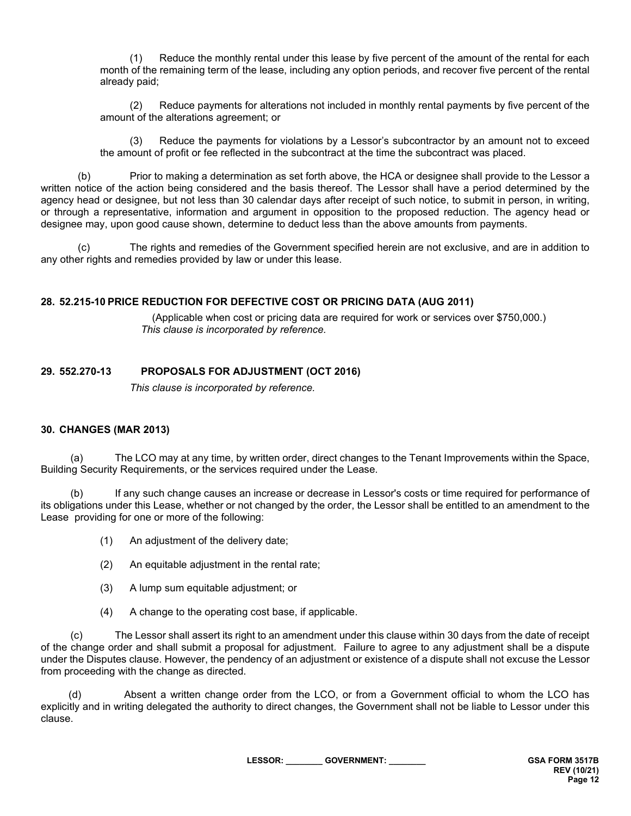(1) Reduce the monthly rental under this lease by five percent of the amount of the rental for each month of the remaining term of the lease, including any option periods, and recover five percent of the rental already paid;

(2) Reduce payments for alterations not included in monthly rental payments by five percent of the amount of the alterations agreement; or

(3) Reduce the payments for violations by a Lessor's subcontractor by an amount not to exceed the amount of profit or fee reflected in the subcontract at the time the subcontract was placed.

(b) Prior to making a determination as set forth above, the HCA or designee shall provide to the Lessor a written notice of the action being considered and the basis thereof. The Lessor shall have a period determined by the agency head or designee, but not less than 30 calendar days after receipt of such notice, to submit in person, in writing, or through a representative, information and argument in opposition to the proposed reduction. The agency head or designee may, upon good cause shown, determine to deduct less than the above amounts from payments.

(c) The rights and remedies of the Government specified herein are not exclusive, and are in addition to any other rights and remedies provided by law or under this lease.

## **28. 52.215-10 PRICE REDUCTION FOR DEFECTIVE COST OR PRICING DATA (AUG 2011)**

(Applicable when cost or pricing data are required for work or services over \$750,000.) *This clause is incorporated by reference.*

# **29. 552.270-13 PROPOSALS FOR ADJUSTMENT (OCT 2016)**

*This clause is incorporated by reference.*

### **30. CHANGES (MAR 2013)**

(a) The LCO may at any time, by written order, direct changes to the Tenant Improvements within the Space, Building Security Requirements, or the services required under the Lease.

(b) If any such change causes an increase or decrease in Lessor's costs or time required for performance of its obligations under this Lease, whether or not changed by the order, the Lessor shall be entitled to an amendment to the Lease providing for one or more of the following:

- (1) An adjustment of the delivery date;
- (2) An equitable adjustment in the rental rate;
- (3) A lump sum equitable adjustment; or
- (4) A change to the operating cost base, if applicable.

(c) The Lessor shall assert its right to an amendment under this clause within 30 days from the date of receipt of the change order and shall submit a proposal for adjustment. Failure to agree to any adjustment shall be a dispute under the Disputes clause. However, the pendency of an adjustment or existence of a dispute shall not excuse the Lessor from proceeding with the change as directed.

(d) Absent a written change order from the LCO, or from a Government official to whom the LCO has explicitly and in writing delegated the authority to direct changes, the Government shall not be liable to Lessor under this clause.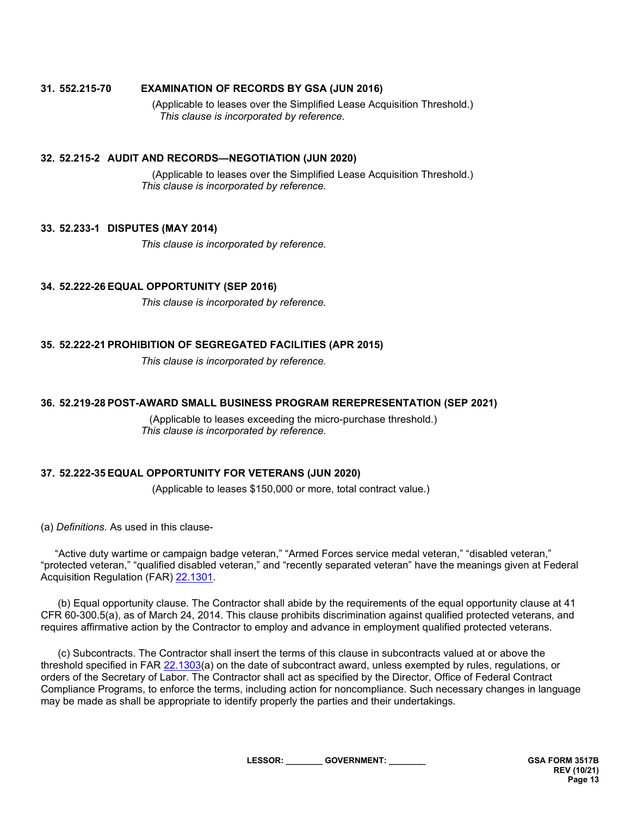### **31. 552.215-70 EXAMINATION OF RECORDS BY GSA (JUN 2016)**

(Applicable to leases over the Simplified Lease Acquisition Threshold.) *This clause is incorporated by reference.*

### **32. 52.215-2 AUDIT AND RECORDS—NEGOTIATION (JUN 2020)**

(Applicable to leases over the Simplified Lease Acquisition Threshold.) *This clause is incorporated by reference.*

### **33. 52.233-1 DISPUTES (MAY 2014)**

*This clause is incorporated by reference.*

### **34. 52.222-26 EQUAL OPPORTUNITY (SEP 2016)**

*This clause is incorporated by reference.*

### **35. 52.222-21 PROHIBITION OF SEGREGATED FACILITIES (APR 2015)**

*This clause is incorporated by reference.*

## **36. 52.219-28 POST-AWARD SMALL BUSINESS PROGRAM REREPRESENTATION (SEP 2021)**

 (Applicable to leases exceeding the micro-purchase threshold.) *This clause is incorporated by reference.*

### **37. 52.222-35 EQUAL OPPORTUNITY FOR VETERANS (JUN 2020)**

(Applicable to leases \$150,000 or more, total contract value.)

(a) *Definitions*. As used in this clause-

 "Active duty wartime or campaign badge veteran," "Armed Forces service medal veteran," "disabled veteran," "protected veteran," "qualified disabled veteran," and "recently separated veteran" have the meanings given at Federal Acquisition Regulation (FAR) [22.1301.](https://www.acquisition.gov/content/part-22-application-labor-laws-government-acquisitions#i1096035)

 (b) Equal opportunity clause. The Contractor shall abide by the requirements of the equal opportunity clause at 41 CFR 60-300.5(a), as of March 24, 2014. This clause prohibits discrimination against qualified protected veterans, and requires affirmative action by the Contractor to employ and advance in employment qualified protected veterans.

 (c) Subcontracts. The Contractor shall insert the terms of this clause in subcontracts valued at or above the threshold specified in FAR [22.1303\(](https://www.acquisition.gov/content/part-22-application-labor-laws-government-acquisitions#id1617MD05061)a) on the date of subcontract award, unless exempted by rules, regulations, or orders of the Secretary of Labor. The Contractor shall act as specified by the Director, Office of Federal Contract Compliance Programs, to enforce the terms, including action for noncompliance. Such necessary changes in language may be made as shall be appropriate to identify properly the parties and their undertakings.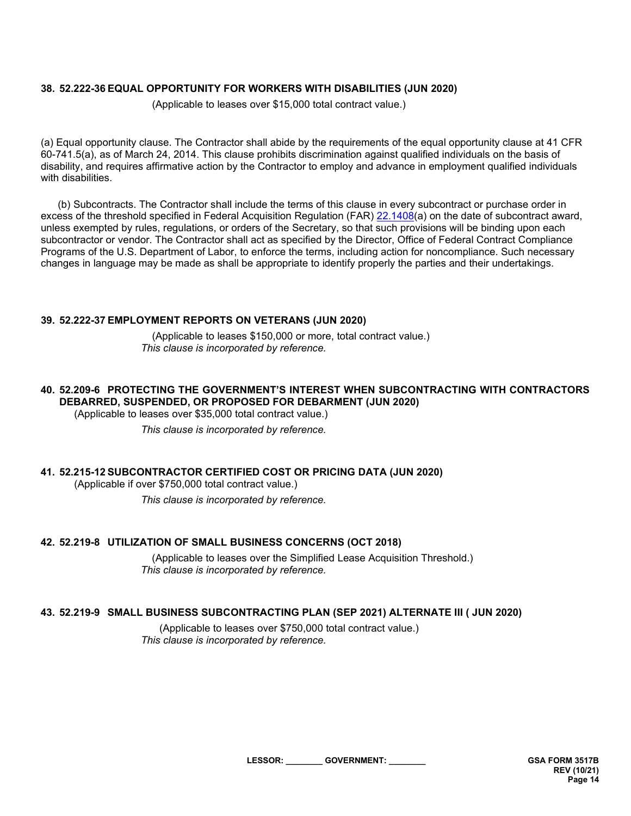# **38. 52.222-36 EQUAL OPPORTUNITY FOR WORKERS WITH DISABILITIES (JUN 2020)**

(Applicable to leases over \$15,000 total contract value.)

(a) Equal opportunity clause. The Contractor shall abide by the requirements of the equal opportunity clause at 41 CFR 60-741.5(a), as of March 24, 2014. This clause prohibits discrimination against qualified individuals on the basis of disability, and requires affirmative action by the Contractor to employ and advance in employment qualified individuals with disabilities.

 (b) Subcontracts. The Contractor shall include the terms of this clause in every subcontract or purchase order in excess of the threshold specified in Federal Acquisition Regulation (FAR) [22.1408\(](https://www.acquisition.gov/content/part-22-application-labor-laws-government-acquisitions#i1095976)a) on the date of subcontract award, unless exempted by rules, regulations, or orders of the Secretary, so that such provisions will be binding upon each subcontractor or vendor. The Contractor shall act as specified by the Director, Office of Federal Contract Compliance Programs of the U.S. Department of Labor, to enforce the terms, including action for noncompliance. Such necessary changes in language may be made as shall be appropriate to identify properly the parties and their undertakings.

### **39. 52.222-37 EMPLOYMENT REPORTS ON VETERANS (JUN 2020)**

(Applicable to leases \$150,000 or more, total contract value.) *This clause is incorporated by reference.*

# **40. 52.209-6 PROTECTING THE GOVERNMENT'S INTEREST WHEN SUBCONTRACTING WITH CONTRACTORS DEBARRED, SUSPENDED, OR PROPOSED FOR DEBARMENT (JUN 2020)**

(Applicable to leases over \$35,000 total contract value.)

*This clause is incorporated by reference.*

# **41. 52.215-12 SUBCONTRACTOR CERTIFIED COST OR PRICING DATA (JUN 2020)**

(Applicable if over \$750,000 total contract value.)

*This clause is incorporated by reference.*

### **42. 52.219-8 UTILIZATION OF SMALL BUSINESS CONCERNS (OCT 2018)**

(Applicable to leases over the Simplified Lease Acquisition Threshold.) *This clause is incorporated by reference.*

### **43. 52.219-9 SMALL BUSINESS SUBCONTRACTING PLAN (SEP 2021) ALTERNATE III ( JUN 2020)**

(Applicable to leases over \$750,000 total contract value.) *This clause is incorporated by reference.*

**LESSOR: \_\_\_\_\_\_\_\_ GOVERNMENT: \_\_\_\_\_\_\_\_ GSA FORM 3517B**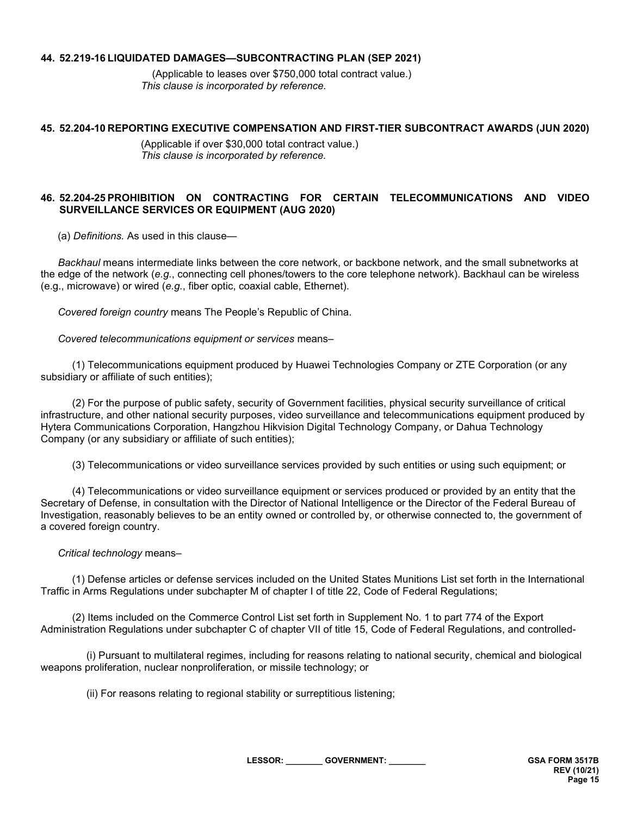# **44. 52.219-16 LIQUIDATED DAMAGES—SUBCONTRACTING PLAN (SEP 2021)**

(Applicable to leases over \$750,000 total contract value.) *This clause is incorporated by reference.*

# **45. 52.204-10 REPORTING EXECUTIVE COMPENSATION AND FIRST-TIER SUBCONTRACT AWARDS (JUN 2020)**

(Applicable if over \$30,000 total contract value.) *This clause is incorporated by reference.*

## **46. 52.204-25 PROHIBITION ON CONTRACTING FOR CERTAIN TELECOMMUNICATIONS AND VIDEO SURVEILLANCE SERVICES OR EQUIPMENT (AUG 2020)**

(a) *Definitions.* As used in this clause—

 *Backhaul* means intermediate links between the core network, or backbone network, and the small subnetworks at the edge of the network (*e.g.*, connecting cell phones/towers to the core telephone network). Backhaul can be wireless (e.g., microwave) or wired (*e.g.*, fiber optic, coaxial cable, Ethernet).

*Covered foreign country* means The People's Republic of China.

*Covered telecommunications equipment or services* means–

 (1) Telecommunications equipment produced by Huawei Technologies Company or ZTE Corporation (or any subsidiary or affiliate of such entities);

 (2) For the purpose of public safety, security of Government facilities, physical security surveillance of critical infrastructure, and other national security purposes, video surveillance and telecommunications equipment produced by Hytera Communications Corporation, Hangzhou Hikvision Digital Technology Company, or Dahua Technology Company (or any subsidiary or affiliate of such entities);

(3) Telecommunications or video surveillance services provided by such entities or using such equipment; or

 (4) Telecommunications or video surveillance equipment or services produced or provided by an entity that the Secretary of Defense, in consultation with the Director of National Intelligence or the Director of the Federal Bureau of Investigation, reasonably believes to be an entity owned or controlled by, or otherwise connected to, the government of a covered foreign country.

### *Critical technology* means–

 (1) Defense articles or defense services included on the United States Munitions List set forth in the International Traffic in Arms Regulations under subchapter M of chapter I of title 22, Code of Federal Regulations;

 (2) Items included on the Commerce Control List set forth in Supplement No. 1 to part 774 of the Export Administration Regulations under subchapter C of chapter VII of title 15, Code of Federal Regulations, and controlled-

 (i) Pursuant to multilateral regimes, including for reasons relating to national security, chemical and biological weapons proliferation, nuclear nonproliferation, or missile technology; or

(ii) For reasons relating to regional stability or surreptitious listening;

**LESSOR: \_\_\_\_\_\_\_\_ GOVERNMENT: \_\_\_\_\_\_\_\_ GSA FORM 3517B**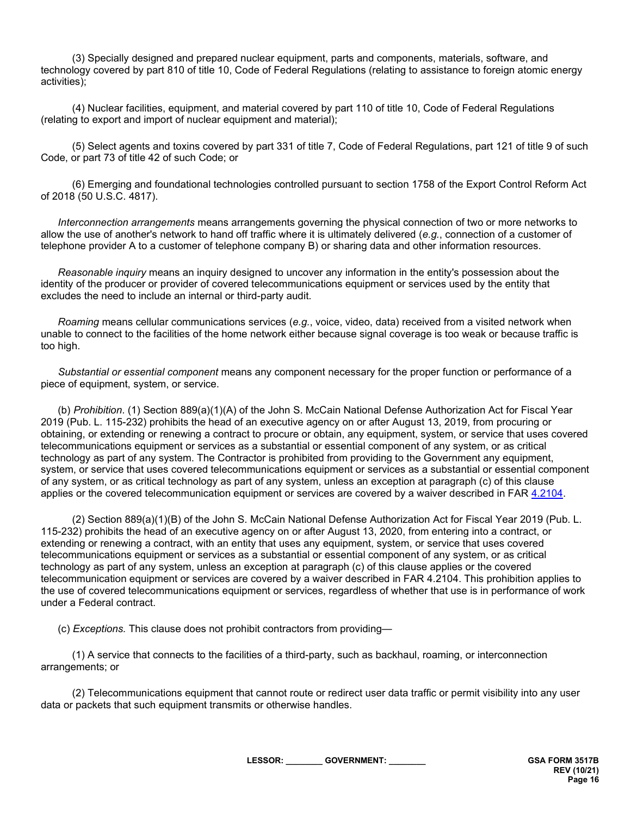(3) Specially designed and prepared nuclear equipment, parts and components, materials, software, and technology covered by part 810 of title 10, Code of Federal Regulations (relating to assistance to foreign atomic energy activities);

 (4) Nuclear facilities, equipment, and material covered by part 110 of title 10, Code of Federal Regulations (relating to export and import of nuclear equipment and material);

 (5) Select agents and toxins covered by part 331 of title 7, Code of Federal Regulations, part 121 of title 9 of such Code, or part 73 of title 42 of such Code; or

 (6) Emerging and foundational technologies controlled pursuant to section 1758 of the Export Control Reform Act of 2018 (50 U.S.C. 4817).

 *Interconnection arrangements* means arrangements governing the physical connection of two or more networks to allow the use of another's network to hand off traffic where it is ultimately delivered (*e.g.*, connection of a customer of telephone provider A to a customer of telephone company B) or sharing data and other information resources.

 *Reasonable inquiry* means an inquiry designed to uncover any information in the entity's possession about the identity of the producer or provider of covered telecommunications equipment or services used by the entity that excludes the need to include an internal or third-party audit.

 *Roaming* means cellular communications services (*e.g.*, voice, video, data) received from a visited network when unable to connect to the facilities of the home network either because signal coverage is too weak or because traffic is too high.

 *Substantial or essential component* means any component necessary for the proper function or performance of a piece of equipment, system, or service.

 (b) *Prohibition*. (1) Section 889(a)(1)(A) of the John S. McCain National Defense Authorization Act for Fiscal Year 2019 (Pub. L. 115-232) prohibits the head of an executive agency on or after August 13, 2019, from procuring or obtaining, or extending or renewing a contract to procure or obtain, any equipment, system, or service that uses covered telecommunications equipment or services as a substantial or essential component of any system, or as critical technology as part of any system. The Contractor is prohibited from providing to the Government any equipment, system, or service that uses covered telecommunications equipment or services as a substantial or essential component of any system, or as critical technology as part of any system, unless an exception at paragraph (c) of this clause applies or the covered telecommunication equipment or services are covered by a waiver described in FAR 4.2104.

 (2) Section 889(a)(1)(B) of the John S. McCain National Defense Authorization Act for Fiscal Year 2019 (Pub. L. 115-232) prohibits the head of an executive agency on or after August 13, 2020, from entering into a contract, or extending or renewing a contract, with an entity that uses any equipment, system, or service that uses covered telecommunications equipment or services as a substantial or essential component of any system, or as critical technology as part of any system, unless an exception at paragraph (c) of this clause applies or the covered telecommunication equipment or services are covered by a waiver described in FAR 4.2104. This prohibition applies to the use of covered telecommunications equipment or services, regardless of whether that use is in performance of work under a Federal contract.

(c) *Exceptions.* This clause does not prohibit contractors from providing—

 (1) A service that connects to the facilities of a third-party, such as backhaul, roaming, or interconnection arrangements; or

 (2) Telecommunications equipment that cannot route or redirect user data traffic or permit visibility into any user data or packets that such equipment transmits or otherwise handles.

**LESSOR: \_\_\_\_\_\_\_\_ GOVERNMENT: \_\_\_\_\_\_\_\_ GSA FORM 3517B**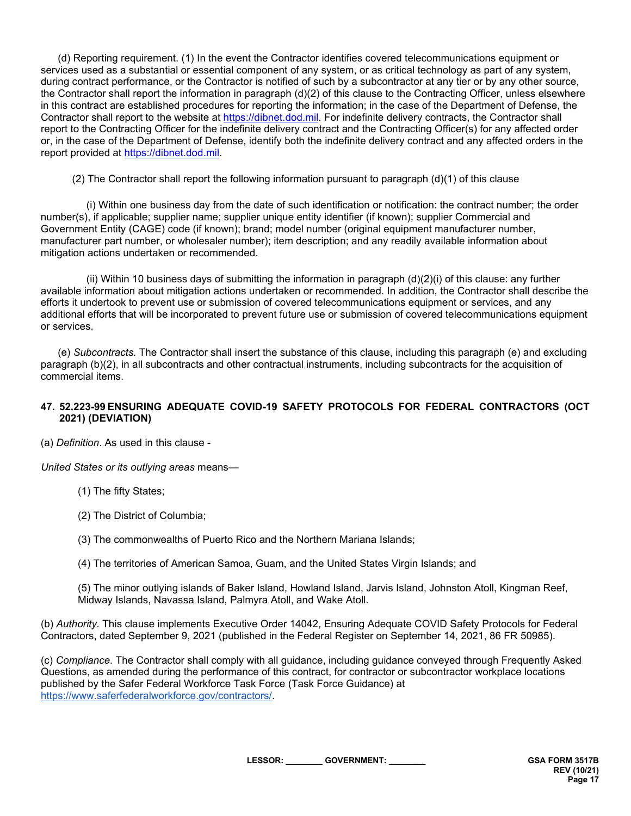(d) Reporting requirement. (1) In the event the Contractor identifies covered telecommunications equipment or services used as a substantial or essential component of any system, or as critical technology as part of any system, during contract performance, or the Contractor is notified of such by a subcontractor at any tier or by any other source, the Contractor shall report the information in paragraph (d)(2) of this clause to the Contracting Officer, unless elsewhere in this contract are established procedures for reporting the information; in the case of the Department of Defense, the Contractor shall report to the website at https://dibnet.dod.mil. For indefinite delivery contracts, the Contractor shall report to the Contracting Officer for the indefinite delivery contract and the Contracting Officer(s) for any affected order or, in the case of the Department of Defense, identify both the indefinite delivery contract and any affected orders in the report provided at https://dibnet.dod.mil.

(2) The Contractor shall report the following information pursuant to paragraph  $(d)(1)$  of this clause

 (i) Within one business day from the date of such identification or notification: the contract number; the order number(s), if applicable; supplier name; supplier unique entity identifier (if known); supplier Commercial and Government Entity (CAGE) code (if known); brand; model number (original equipment manufacturer number, manufacturer part number, or wholesaler number); item description; and any readily available information about mitigation actions undertaken or recommended.

 (ii) Within 10 business days of submitting the information in paragraph (d)(2)(i) of this clause: any further available information about mitigation actions undertaken or recommended. In addition, the Contractor shall describe the efforts it undertook to prevent use or submission of covered telecommunications equipment or services, and any additional efforts that will be incorporated to prevent future use or submission of covered telecommunications equipment or services.

 (e) *Subcontracts.* The Contractor shall insert the substance of this clause, including this paragraph (e) and excluding paragraph (b)(2), in all subcontracts and other contractual instruments, including subcontracts for the acquisition of commercial items.

## **47. 52.223-99 ENSURING ADEQUATE COVID-19 SAFETY PROTOCOLS FOR FEDERAL CONTRACTORS (OCT 2021) (DEVIATION)**

(a) *Definition*. As used in this clause -

*United States or its outlying areas* means—

- (1) The fifty States;
- (2) The District of Columbia;
- (3) The commonwealths of Puerto Rico and the Northern Mariana Islands;
- (4) The territories of American Samoa, Guam, and the United States Virgin Islands; and

(5) The minor outlying islands of Baker Island, Howland Island, Jarvis Island, Johnston Atoll, Kingman Reef, Midway Islands, Navassa Island, Palmyra Atoll, and Wake Atoll.

(b) *Authority.* This clause implements Executive Order 14042, Ensuring Adequate COVID Safety Protocols for Federal Contractors, dated September 9, 2021 (published in the Federal Register on September 14, 2021, 86 FR 50985).

(c) *Compliance.* The Contractor shall comply with all guidance, including guidance conveyed through Frequently Asked Questions, as amended during the performance of this contract, for contractor or subcontractor workplace locations published by the Safer Federal Workforce Task Force (Task Force Guidance) at https://www.saferfederalworkforce.gov/contractors/.